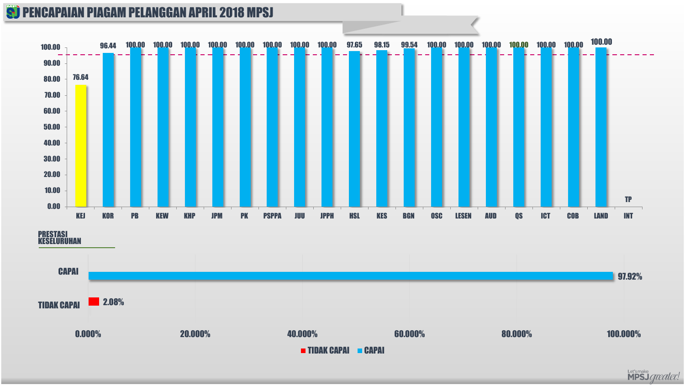#### **S) PENCAPAIAN PIAGAM PELANGGAN APRIL 2018 MPSJ**



PRESTASI KESELURUHAN



Let'smake<br>**MPSJ** greater!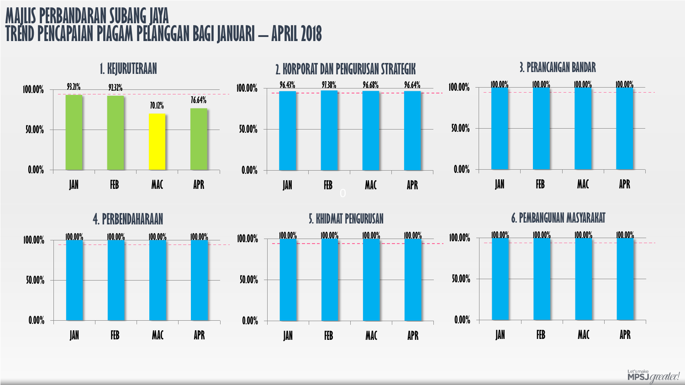



Let'smake<br>**MPSJ** *greater!*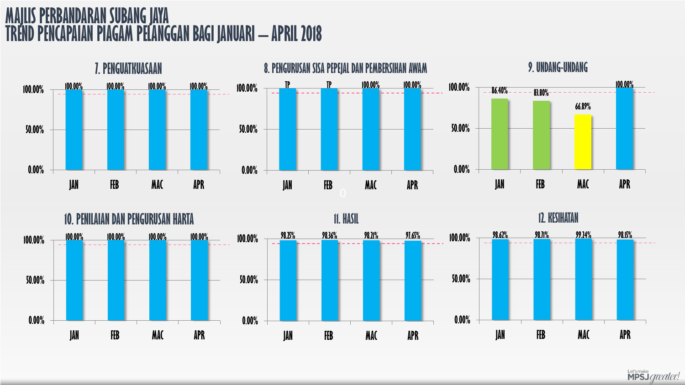



Let'smake<br>**MPSJ** greater!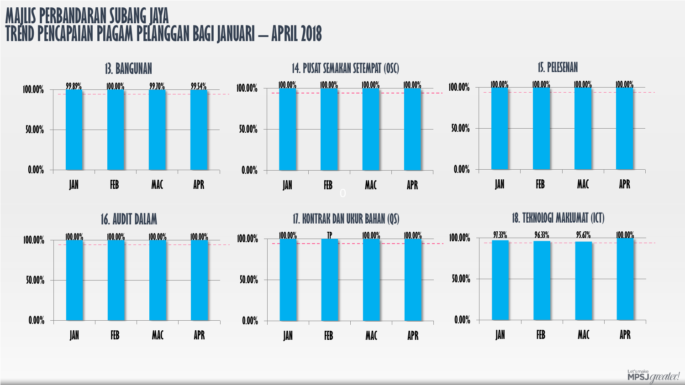